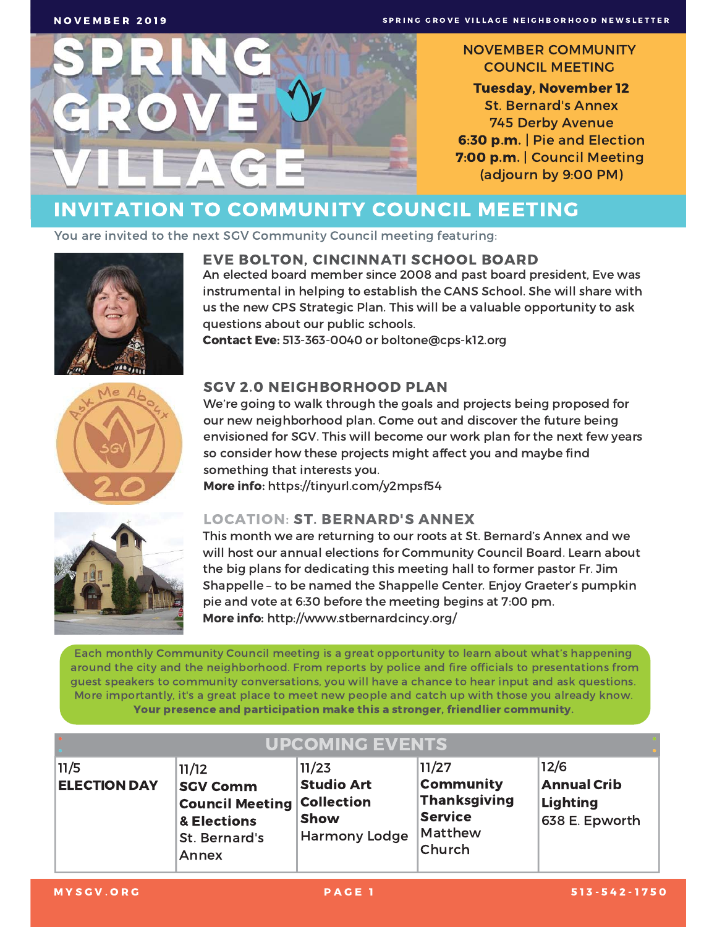

#### **NOVEMBER COMMUNITY COUNCIL MEETING**

**Tuesday, November 12 St. Bernard's Annex 745 Derby Avenue** 6:30 p.m. | Pie and Election 7:00 p.m. | Council Meeting (adjourn by 9:00 PM)

# **INVITATION TO COMMUNITY COUNCIL MEETING**

You are invited to the next SGV Community Council meeting featuring:



**NOVEMBER 2019** 

### **EVE BOLTON, CINCINNATI SCHOOL BOARD**

An elected board member since 2008 and past board president, Eve was instrumental in helping to establish the CANS School. She will share with us the new CPS Strategic Plan. This will be a valuable opportunity to ask questions about our public schools.

Contact Eve: 513-363-0040 or boltone@cps-k12.org



### **SGV 2.0 NEIGHBORHOOD PLAN**

We're going to walk through the goals and projects being proposed for our new neighborhood plan. Come out and discover the future being envisioned for SGV. This will become our work plan for the next few years so consider how these projects might affect you and maybe find something that interests you.

More info: https://tinyurl.com/y2mpsf54



### **LOCATION: ST. BERNARD'S ANNEX**

This month we are returning to our roots at St. Bernard's Annex and we will host our annual elections for Community Council Board. Learn about the big plans for dedicating this meeting hall to former pastor Fr. Jim Shappelle - to be named the Shappelle Center. Enjoy Graeter's pumpkin pie and vote at 6:30 before the meeting begins at 7:00 pm. More info: http://www.stbernardcincy.org/

Each monthly Community Council meeting is a great opportunity to learn about what's happening around the city and the neighborhood. From reports by police and fire officials to presentations from guest speakers to community conversations, you will have a chance to hear input and ask questions. More importantly, it's a great place to meet new people and catch up with those you already know. Your presence and participation make this a stronger, friendlier community.

|                             | <b>UPCOMING EVENTS</b>                                                                             |                                                                                        |                                                                                         |                                                                 |  |
|-----------------------------|----------------------------------------------------------------------------------------------------|----------------------------------------------------------------------------------------|-----------------------------------------------------------------------------------------|-----------------------------------------------------------------|--|
| 11/5<br><b>ELECTION DAY</b> | 11/12<br><b>SGV Comm</b><br><b>Council Meeting</b><br>& Elections<br>St. Bernard's<br><b>Annex</b> | 11/23<br><b>Studio Art</b><br><b>Collection</b><br><b>Show</b><br><b>Harmony Lodge</b> | 11/27<br><b>Community</b><br>Thanksgiving<br><b>Service</b><br><b>Matthew</b><br>Church | 12/6<br><b>Annual Crib</b><br><b>Lighting</b><br>638 E. Epworth |  |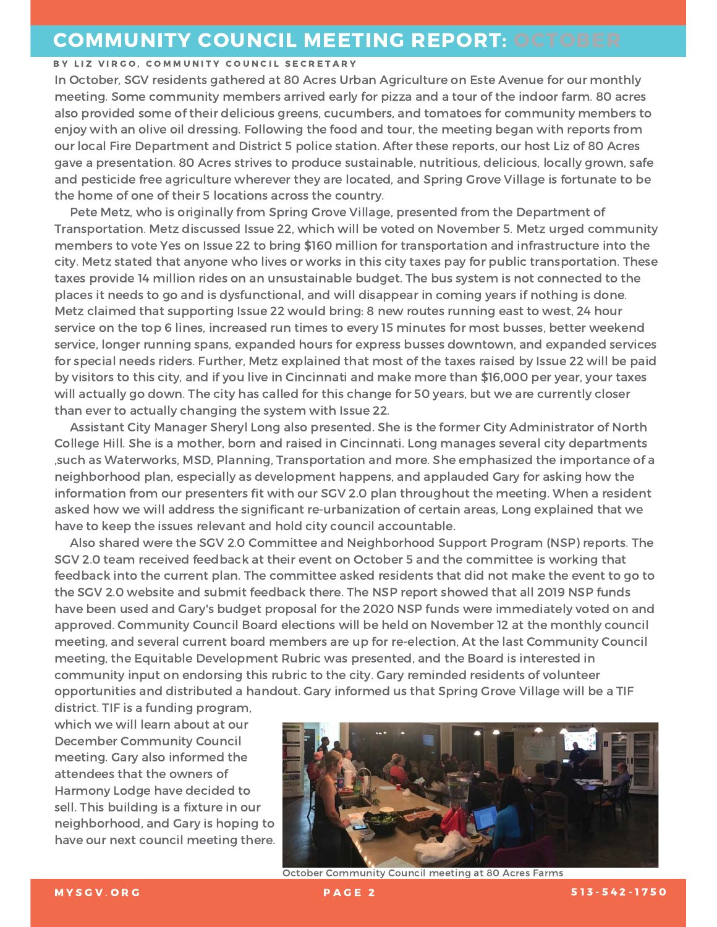## **COMMUNITY COUNCIL MEETING REPORT: OCTOBER**

#### BY LIZ VIRGO, COMMUNITY COUNCIL SECRETARY

In October, SGV residents gathered at 80 Acres Urban Agriculture on Este Avenue for our monthly meeting. Some community members arrived early for pizza and a tour of the indoor farm. 80 acres also provided some of their delicious greens, cucumbers, and tomatoes for community members to enjoy with an olive oil dressing. Following the food and tour, the meeting began with reports from our local Fire Department and District 5 police station. After these reports, our host Liz of 80 Acres gave a presentation. 80 Acres strives to produce sustainable, nutritious, delicious, locally grown, safe and pesticide free agriculture wherever they are located, and Spring Grove Village is fortunate to be the home of one of their 5 locations across the country.

Pete Metz, who is originally from Spring Grove Village, presented from the Department of Transportation. Metz discussed Issue 22, which will be voted on November 5. Metz urged community members to vote Yes on Issue 22 to bring \$160 million for transportation and infrastructure into the city. Metz stated that anyone who lives or works in this city taxes pay for public transportation. These taxes provide 14 million rides on an unsustainable budget. The bus system is not connected to the places it needs to go and is dysfunctional, and will disappear in coming years if nothing is done. Metz claimed that supporting Issue 22 would bring: 8 new routes running east to west, 24 hour service on the top 6 lines, increased run times to every 15 minutes for most busses, better weekend service, longer running spans, expanded hours for express busses downtown, and expanded services for special needs riders. Further, Metz explained that most of the taxes raised by Issue 22 will be paid by visitors to this city, and if you live in Cincinnati and make more than \$16,000 per year, your taxes will actually go down. The city has called for this change for 50 years, but we are currently closer than ever to actually changing the system with Issue 22.

Assistant City Manager Sheryl Long also presented. She is the former City Administrator of North College Hill. She is a mother, born and raised in Cincinnati. Long manages several city departments such as Waterworks, MSD, Planning, Transportation and more. She emphasized the importance of a, neighborhood plan, especially as development happens, and applauded Gary for asking how the information from our presenters fit with our SGV 2.0 plan throughout the meeting. When a resident asked how we will address the significant re-urbanization of certain areas, Long explained that we have to keep the issues relevant and hold city council accountable.

Also shared were the SGV 2.0 Committee and Neighborhood Support Program (NSP) reports. The SGV 2.0 team received feedback at their event on October 5 and the committee is working that feedback into the current plan. The committee asked residents that did not make the event to go to the SGV 2.0 website and submit feedback there. The NSP report showed that all 2019 NSP funds have been used and Gary's budget proposal for the 2020 NSP funds were immediately voted on and approved. Community Council Board elections will be held on November 12 at the monthly council meeting, and several current board members are up for re-election, At the last Community Council meeting, the Equitable Development Rubric was presented, and the Board is interested in community input on endorsing this rubric to the city. Gary reminded residents of volunteer opportunities and distributed a handout. Gary informed us that Spring Grove Village will be a TIF

district. TIF is a funding program, which we will learn about at our **December Community Council** meeting. Gary also informed the attendees that the owners of Harmony Lodge have decided to sell. This building is a fixture in our neighborhood, and Gary is hoping to have our next council meeting there.



**October Community Council meeting at 80 Acres Farms**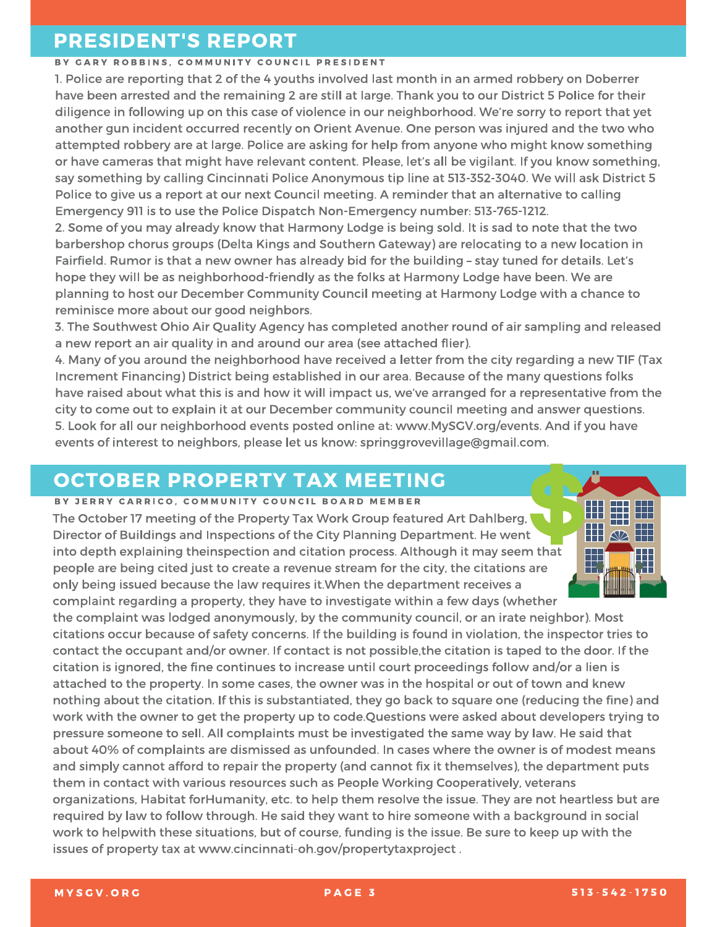## **PRESIDENT'S REPORT**

#### BY GARY ROBBINS, COMMUNITY COUNCIL PRESIDENT

1. Police are reporting that 2 of the 4 youths involved last month in an armed robbery on Doberrer have been arrested and the remaining 2 are still at large. Thank you to our District 5 Police for their diligence in following up on this case of violence in our neighborhood. We're sorry to report that yet another gun incident occurred recently on Orient Avenue. One person was injured and the two who attempted robbery are at large. Police are asking for help from anyone who might know something or have cameras that might have relevant content. Please, let's all be vigilant. If you know something, say something by calling Cincinnati Police Anonymous tip line at 513-352-3040. We will ask District 5 Police to give us a report at our next Council meeting. A reminder that an alternative to calling Emergency 911 is to use the Police Dispatch Non-Emergency number: 513-765-1212.

2. Some of you may already know that Harmony Lodge is being sold. It is sad to note that the two barbershop chorus groups (Delta Kings and Southern Gateway) are relocating to a new location in Fairfield. Rumor is that a new owner has already bid for the building - stay tuned for details. Let's hope they will be as neighborhood-friendly as the folks at Harmony Lodge have been. We are planning to host our December Community Council meeting at Harmony Lodge with a chance to reminisce more about our good neighbors.

3. The Southwest Ohio Air Quality Agency has completed another round of air sampling and released a new report an air quality in and around our area (see attached flier).

4. Many of you around the neighborhood have received a letter from the city regarding a new TIF (Tax Increment Financing) District being established in our area. Because of the many questions folks have raised about what this is and how it will impact us, we've arranged for a representative from the city to come out to explain it at our December community council meeting and answer questions. 5. Look for all our neighborhood events posted online at: www.MySGV.org/events. And if you have events of interest to neighbors, please let us know: springgrovevillage@gmail.com.

# **OCTOBER PROPERTY TAX MEETING**

#### BY JERRY CARRICO, COMMUNITY COUNCIL BOARD MEMBER

The October 17 meeting of the Property Tax Work Group featured Art Dahlberg, Director of Buildings and Inspections of the City Planning Department. He went into depth explaining theinspection and citation process. Although it may seem that people are being cited just to create a revenue stream for the city, the citations are only being issued because the law requires it. When the department receives a complaint regarding a property, they have to investigate within a few days (whether

the complaint was lodged anonymously, by the community council, or an irate neighbor). Most citations occur because of safety concerns. If the building is found in violation, the inspector tries to contact the occupant and/or owner. If contact is not possible, the citation is taped to the door. If the citation is ignored, the fine continues to increase until court proceedings follow and/or a lien is

attached to the property. In some cases, the owner was in the hospital or out of town and knew nothing about the citation. If this is substantiated, they go back to square one (reducing the fine) and work with the owner to get the property up to code.Questions were asked about developers trying to pressure someone to sell. All complaints must be investigated the same way by law. He said that about 40% of complaints are dismissed as unfounded. In cases where the owner is of modest means and simply cannot afford to repair the property (and cannot fix it themselves), the department puts them in contact with various resources such as People Working Cooperatively, veterans organizations, Habitat forHumanity, etc. to help them resolve the issue. They are not heartless but are required by law to follow through. He said they want to hire someone with a background in social work to helpwith these situations, but of course, funding is the issue. Be sure to keep up with the issues of property tax at www.cincinnati-oh.gov/propertytaxproject.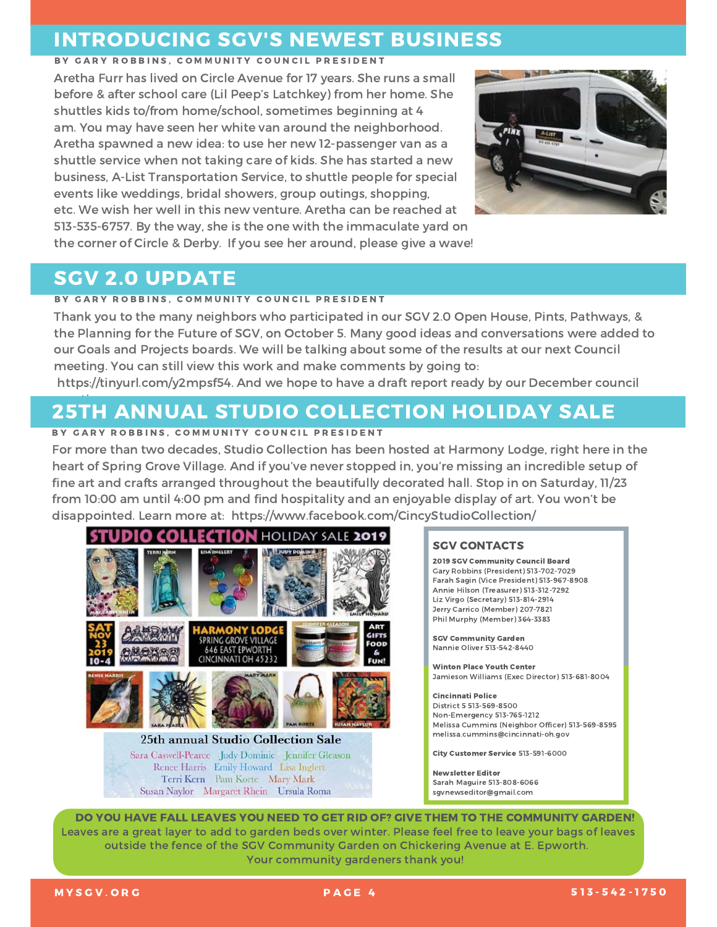### **INTRODUCING SGV'S NEWEST BUSINESS**

#### BY GARY ROBBINS, COMMUNITY COUNCIL PRESIDENT

Aretha Furr has lived on Circle Avenue for 17 years. She runs a small before & after school care (Lil Peep's Latchkey) from her home. She shuttles kids to/from home/school, sometimes beginning at 4 am. You may have seen her white van around the neighborhood. Aretha spawned a new idea: to use her new 12-passenger van as a shuttle service when not taking care of kids. She has started a new business, A-List Transportation Service, to shuttle people for special events like weddings, bridal showers, group outings, shopping, etc. We wish her well in this new venture. Aretha can be reached at 513-535-6757. By the way, she is the one with the immaculate yard on the corner of Circle & Derby. If you see her around, please give a wave!



### **SGV 2.0 UPDATE**

#### BY GARY ROBBINS, COMMUNITY COUNCIL PRESIDENT

Thank you to the many neighbors who participated in our SGV 2.0 Open House, Pints, Pathways, & the Planning for the Future of SGV, on October 5. Many good ideas and conversations were added to our Goals and Projects boards. We will be talking about some of the results at our next Council meeting. You can still view this work and make comments by going to:

https://tinyurl.com/y2mpsf54. And we hope to have a draft report ready by our December council

# **25TH ANNUAL STUDIO COLLECTION HOLIDAY SALE**

#### BY GARY ROBBINS, COMMUNITY COUNCIL PRESIDENT

For more than two decades, Studio Collection has been hosted at Harmony Lodge, right here in the heart of Spring Grove Village. And if you've never stopped in, you're missing an incredible setup of fine art and crafts arranged throughout the beautifully decorated hall. Stop in on Saturday, 11/23 from 10:00 am until 4:00 pm and find hospitality and an enjoyable display of art. You won't be disappointed. Learn more at: https://www.facebook.com/CincyStudioCollection/



#### **SGV CONTACTS**

2019 SGV Community Council Board Gary Robbins (President) 513-702-7029 Farah Sagin (Vice President) 513-967-8908 Annie Hilson (Treasurer) 513-312-7292 Liz Virgo (Secretary) 513-814-2914 Jerry Carrico (Member) 207-7821 Phil Murphy (Member) 364-3383

**SGV Community Garden** Nannie Oliver 513-542-8440

**Winton Place Youth Center** Jamieson Williams (Exec Director) 513-681-8004

**Cincinnati Police** District 5 513-569-8500 Non-Emergency 513-765-1212 Melissa Cummins (Neighbor Officer) 513-569-8595 melissa.cummins@cincinnati-oh.gov

City Customer Service 513-591-6000

**Newsletter Editor** Sarah Maguire 513-808-6066 sqynewseditor@gmail.com

DO YOU HAVE FALL LEAVES YOU NEED TO GET RID OF? GIVE THEM TO THE COMMUNITY GARDEN! Leaves are a great layer to add to garden beds over winter. Please feel free to leave your bags of leaves outside the fence of the SGV Community Garden on Chickering Avenue at E. Epworth. Your community gardeners thank you!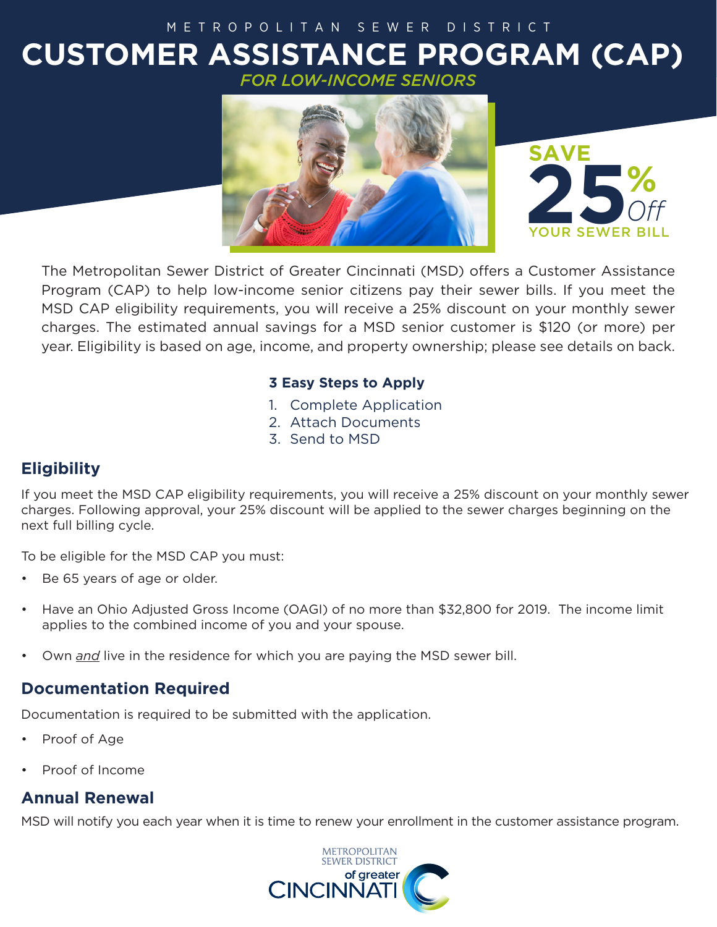# **CUSTOMER ASSISTANCE PROGRAM (CAP)** *FOR LOW-INCOME SENIORS* METROPOLITAN SEWER DISTRICT



*Off*

The Metropolitan Sewer District of Greater Cincinnati (MSD) offers a Customer Assistance Program (CAP) to help low-income senior citizens pay their sewer bills. If you meet the MSD CAP eligibility requirements, you will receive a 25% discount on your monthly sewer charges. The estimated annual savings for a MSD senior customer is \$120 (or more) per year. Eligibility is based on age, income, and property ownership; please see details on back.

### **3 Easy Steps to Apply**

- 1. Complete Application
- 2. Attach Documents
- 3. Send to MSD

### **Eligibility**

If you meet the MSD CAP eligibility requirements, you will receive a 25% discount on your monthly sewer charges. Following approval, your 25% discount will be applied to the sewer charges beginning on the next full billing cycle.

To be eligible for the MSD CAP you must:

- Be 65 years of age or older.
- Have an Ohio Adjusted Gross Income (OAGI) of no more than \$32,800 for 2019. The income limit applies to the combined income of you and your spouse.
- Own *and* live in the residence for which you are paying the MSD sewer bill.

### **Documentation Required**

Documentation is required to be submitted with the application.

- Proof of Age
- Proof of Income

### **Annual Renewal**

MSD will notify you each year when it is time to renew your enrollment in the customer assistance program.

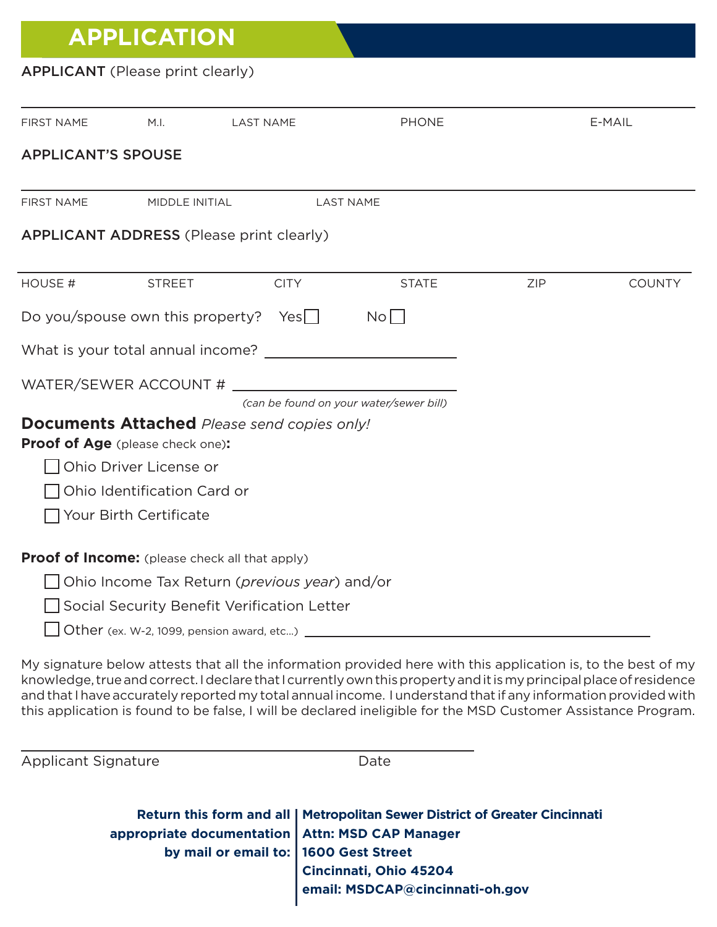# **APPLICATION**

### APPLICANT (Please print clearly)

| FIRST NAME                | M.I.                                      | <b>LAST NAME</b>                                                    | <b>PHONE</b>    |            | E-MAIL        |
|---------------------------|-------------------------------------------|---------------------------------------------------------------------|-----------------|------------|---------------|
| <b>APPLICANT'S SPOUSE</b> |                                           |                                                                     |                 |            |               |
| <b>FIRST NAME</b>         | MIDDLE INITIAL                            | <b>LAST NAME</b>                                                    |                 |            |               |
|                           |                                           | <b>APPLICANT ADDRESS (Please print clearly)</b>                     |                 |            |               |
| HOUSE #                   | <b>STREET</b>                             | <b>CITY</b>                                                         | <b>STATE</b>    | <b>ZIP</b> | <b>COUNTY</b> |
|                           |                                           | Do you/spouse own this property? Yes $\Box$                         | No <sub>1</sub> |            |               |
|                           |                                           | What is your total annual income? What is your total annual income? |                 |            |               |
|                           |                                           |                                                                     |                 |            |               |
|                           |                                           | (can be found on your water/sewer bill)                             |                 |            |               |
|                           | Proof of Age (please check one):          | <b>Documents Attached</b> Please send copies only!                  |                 |            |               |
|                           | Ohio Driver License or                    |                                                                     |                 |            |               |
|                           | Ohio Identification Card or               |                                                                     |                 |            |               |
|                           | Your Birth Certificate                    |                                                                     |                 |            |               |
|                           |                                           | Proof of Income: (please check all that apply)                      |                 |            |               |
|                           |                                           | Ohio Income Tax Return ( <i>previous year</i> ) and/or              |                 |            |               |
|                           |                                           | Social Security Benefit Verification Letter                         |                 |            |               |
|                           | Other (ex. W-2, 1099, pension award, etc) |                                                                     |                 |            |               |

My signature below attests that all the information provided here with this application is, to the best of my knowledge, true and correct. I declare that I currently own this property and it is my principal place of residence and that I have accurately reported my total annual income. I understand that if any information provided with this application is found to be false, I will be declared ineligible for the MSD Customer Assistance Program.

Applicant Signature Date

|                                                   | Return this form and all   Metropolitan Sewer District of Greater Cincinnati                                                    |
|---------------------------------------------------|---------------------------------------------------------------------------------------------------------------------------------|
| appropriate documentation   Attn: MSD CAP Manager | Substitution Atth: MSD C.<br>hy mail or email to: 1600 Gest Street<br>Cincinnati, Ohio 45204<br>Amail: MSDCAP@cincinnati-oh.gov |
|                                                   |                                                                                                                                 |
|                                                   |                                                                                                                                 |
|                                                   |                                                                                                                                 |
|                                                   |                                                                                                                                 |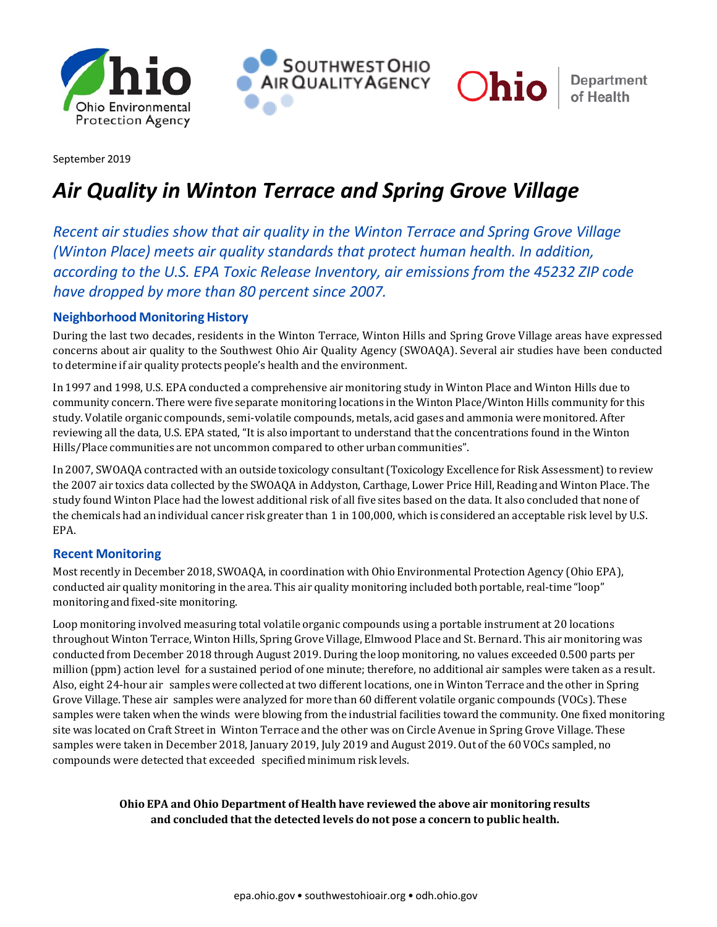



**Department** of Health

Ohio

September 2019

# *Air Quality in Winton Terrace and Spring Grove Village*

*Recent air studies show that air quality in the Winton Terrace and Spring Grove Village (Winton Place) meets air quality standards that protect human health. In addition, according to the U.S. EPA Toxic Release Inventory, air emissions from the 45232 ZIP code have dropped by more than 80 percent since 2007.*

### **Neighborhood Monitoring History**

During the last two decades, residents in the Winton Terrace, Winton Hills and Spring Grove Village areas have expressed concerns about air quality to the Southwest Ohio Air Quality Agency (SWOAQA). Several air studies have been conducted to determine if air quality protects people's health and the environment.

In 1997 and 1998, U.S. EPA conducted a comprehensive air monitoring study in Winton Place and Winton Hills due to community concern. There were five separate monitoring locations in the Winton Place/Winton Hills community for this study. Volatile organic compounds, semi-volatile compounds, metals, acid gases and ammonia were monitored. After reviewing all the data, U.S. EPA stated, "It is also important to understand that the concentrations found in the Winton Hills/Place communities are not uncommon compared to other urban communities".

In 2007, SWOAQA contracted with an outside toxicology consultant(Toxicology Excellence for Risk Assessment) to review the 2007 air toxics data collected by the SWOAQA in Addyston, Carthage, Lower Price Hill, Reading and Winton Place. The study found Winton Place had the lowest additional risk of all five sites based on the data. It also concluded that none of the chemicals had an individual cancer risk greater than 1 in 100,000, which is considered an acceptable risk level by U.S. EPA.

#### **Recent Monitoring**

Most recently in December 2018, SWOAQA, in coordination with Ohio Environmental Protection Agency (Ohio EPA), conducted air quality monitoring in the area. This air quality monitoring included both portable, real-time "loop" monitoring and fixed-site monitoring.

Loop monitoring involved measuring total volatile organic compounds using a portable instrument at 20 locations throughout Winton Terrace, Winton Hills, Spring Grove Village, Elmwood Place and St. Bernard. This air monitoring was conducted from December 2018 through August 2019. During the loop monitoring, no values exceeded 0.500 parts per million (ppm) action level for a sustained period of one minute; therefore, no additional air samples were taken as a result. Also, eight 24-hour air samples were collected at two different locations, one in Winton Terrace and the other in Spring Grove Village. These air samples were analyzed for more than 60 different volatile organic compounds (VOCs). These samples were taken when the winds were blowing from the industrial facilities toward the community. One fixed monitoring site was located on Craft Street in Winton Terrace and the other was on Circle Avenue in Spring Grove Village. These samples were taken in December 2018, January 2019, July 2019 and August 2019. Out of the 60 VOCs sampled, no compounds were detected that exceeded specified minimum risk levels.

#### **Ohio EPA and Ohio Department of Health have reviewed the above air monitoring results and concluded that the detected levels do not pose a concern to public health.**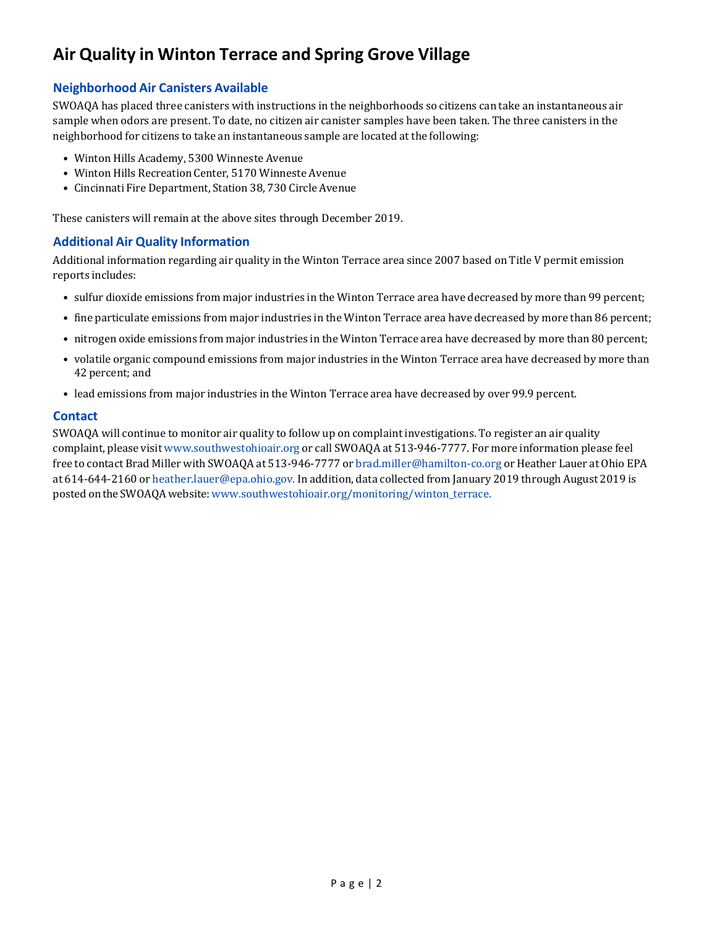# **Air Quality in Winton Terrace and Spring Grove Village**

### **Neighborhood Air Canisters Available**

SWOAQA has placed three canisters with instructions in the neighborhoods so citizens can take an instantaneous air sample when odors are present. To date, no citizen air canister samples have been taken. The three canisters in the neighborhood for citizens to take an instantaneous sample are located at the following:

- Winton Hills Academy, 5300 Winneste Avenue
- Winton Hills Recreation Center, 5170 Winneste Avenue
- Cincinnati Fire Department, Station 38, 730 Circle Avenue

These canisters will remain at the above sites through December 2019.

### **Additional Air Quality Information**

Additional information regarding air quality in the Winton Terrace area since 2007 based on Title V permit emission reports includes:

- sulfur dioxide emissions from major industries in the Winton Terrace area have decreased by more than 99 percent;
- fine particulate emissions from major industries in the Winton Terrace area have decreased by more than 86 percent;
- nitrogen oxide emissions from major industries in the Winton Terrace area have decreased by more than 80 percent;
- volatile organic compound emissions from major industries in the Winton Terrace area have decreased by more than 42 percent; and
- lead emissions from major industries in the Winton Terrace area have decreased by over 99.9 percent.

#### **Contact**

SWOAQA will continue to monitor air quality to follow up on complaint investigations. To register an air quality complaint, please visit www.southwestohioair.org or call SWOAQA at 513-946-7777. For more information please feel free to contact Brad Miller with SWOAQA at 513-946-7777 or brad.miller@hamilton-co.org or Heather Lauer at Ohio EPA at 614-644-2160 or heather.lauer@epa.ohio.gov. In addition, data collected from January 2019 through August 2019 is posted onthe SWOAQA website:www.southwestohioair.org/monitoring/winton\_terrace.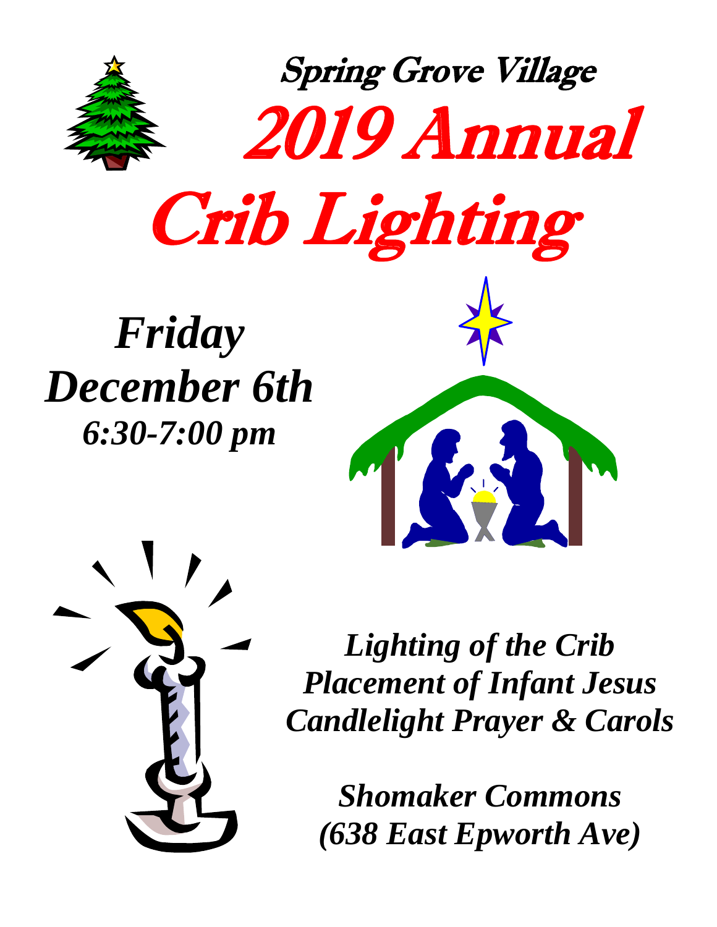



*Lighting of the Crib Placement of Infant Jesus Candlelight Prayer & Carols* 

*Shomaker Commons (638 East Epworth Ave)*